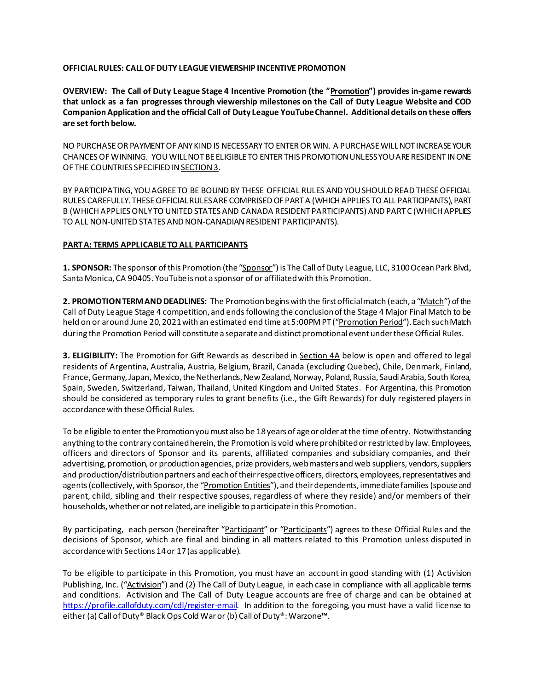#### **OFFICIAL RULES: CALL OF DUTY LEAGUE VIEWERSHIP INCENTIVE PROMOTION**

**OVERVIEW: The Call of Duty League Stage 4 Incentive Promotion (the "Promotion") provides in-game rewards that unlock as a fan progresses through viewership milestones on the Call of Duty League Website and COD Companion Application and the official Call of Duty League YouTube Channel. Additional details on these offers are set forth below.**

NO PURCHASE OR PAYMENT OF ANY KIND IS NECESSARY TO ENTER OR WIN. A PURCHASE WILL NOT INCREASE YOUR CHANCES OF WINNING. YOU WILL NOT BE ELIGIBLE TO ENTER THIS PROMOTION UNLESS YOU ARE RESIDENT IN ONE OF THE COUNTRIES SPECIFIED IN SECTION 3.

BY PARTICIPATING, YOUAGREE TO BE BOUND BY THESE OFFICIAL RULES AND YOU SHOULD READ THESE OFFICIAL RULES CAREFULLY. THESE OFFICIAL RULESARECOMPRISEDOF PART A (WHICH APPLIES TO ALL PARTICIPANTS), PART B (WHICH APPLIES ONLY TO UNITED STATES AND CANADA RESIDENT PARTICIPANTS) AND PART C (WHICH APPLIES TO ALL NON-UNITED STATES AND NON-CANADIAN RESIDENT PARTICIPANTS).

## **PART A: TERMS APPLICABLE TO ALL PARTICIPANTS**

**1. SPONSOR:** Thesponsor of this Promotion (the "Sponsor") is The Call of Duty League, LLC, 3100 Ocean Park Blvd., Santa Monica, CA 90405. YouTube is not a sponsor of or affiliated with this Promotion.

**2. PROMOTIONTERM AND DEADLINES:** The Promotionbegins with the first official match (each, a "Match") of the Call of Duty League Stage 4 competition, and endsfollowing the conclusion of the Stage 4 Major Final Match to be held on or around June 20, 2021 with an estimated end time at 5:00PM PT ("Promotion Period"). Each such Match during the Promotion Period will constitute a separate and distinct promotional event under these Official Rules.

**3. ELIGIBILITY:** The Promotion for Gift Rewards as described in Section 4A below is open and offered to legal residents of Argentina, Australia, Austria, Belgium, Brazil, Canada (excluding Quebec), Chile, Denmark, Finland, France, Germany,Japan,Mexico, the Netherlands, New Zealand, Norway, Poland, Russia, Saudi Arabia, South Korea, Spain, Sweden, Switzerland, Taiwan, Thailand, United Kingdom and United States. For Argentina, this Promotion should be considered as temporary rules to grant benefits (i.e., the Gift Rewards) for duly registered players in accordance with these Official Rules.

To be eligible to enter the Promotion you must also be 18 years of age or older at the time of entry. Notwithstanding anything to the contrary contained herein, the Promotion is void where prohibited or restricted by law. Employees, officers and directors of Sponsor and its parents, affiliated companies and subsidiary companies, and their advertising, promotion, or production agencies, prize providers, web masters and web suppliers, vendors, suppliers and production/distribution partners and each of their respective officers, directors, employees, representatives and agents (collectively, with Sponsor, the "Promotion Entities"), and their dependents, immediate families (spouse and parent, child, sibling and their respective spouses, regardless of where they reside) and/or members of their households, whether or not related, are ineligible to participate in this Promotion.

By participating, each person (hereinafter "Participant" or "Participants") agrees to these Official Rules and the decisions of Sponsor, which are final and binding in all matters related to this Promotion unless disputed in accordance with Sections 14 or 17 (as applicable).

To be eligible to participate in this Promotion, you must have an account in good standing with (1) Activision Publishing, Inc. ("Activision") and (2) The Call of Duty League, in each case in compliance with all applicable terms and conditions. Activision and The Call of Duty League accounts are free of charge and can be obtained at <https://profile.callofduty.com/cdl/register-email>. In addition to the foregoing, you must have a valid license to either (a) Call of Duty® Black Ops Cold Waror (b) Call of Duty®: Warzone™.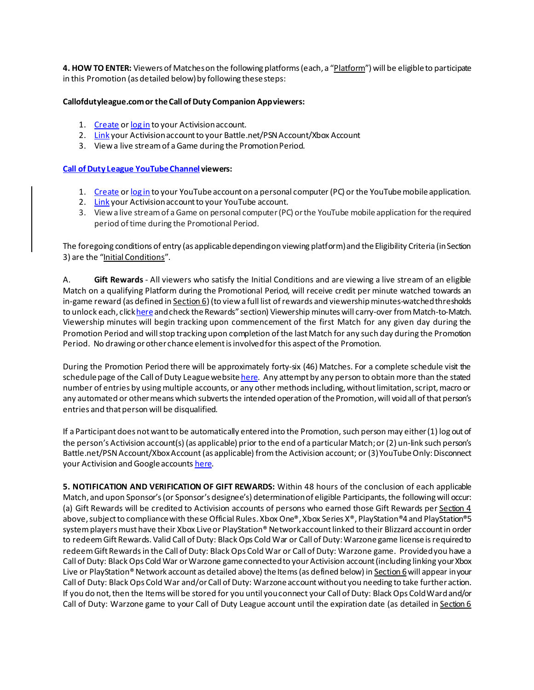**4. HOW TO ENTER:** Viewers of Matcheson the following platforms (each, a "Platform") will be eligible to participate in this Promotion (as detailed below) by following these steps:

### **Callofdutyleague.com or the Call of Duty Companion App viewers:**

- 1. [Create](https://profile.callofduty.com/cdl/register-email) o[r log in](https://s.callofdutyleague.com/cdl/login) to your Activisionaccount.
- 2. [Link](https://s.callofdutyleague.com/cdl/prefs) your Activision account to your Battle.net/PSN Account/Xbox Account
- 3. View a live stream of a Game during the Promotion Period.

## **[Call of Duty League YouTube Channel](https://www.youtube.com/c/CODLeague) viewers:**

- 1. [Create](https://accounts.google.com/signup) o[r log in](https://accounts.google.com/) to your YouTube account on a personal computer (PC) or the YouTube mobile application.
- 2. [Link](https://www.youtube.com/account_sharing) your Activision account to your YouTube account.
- 3. Viewa live streamof aGame on personal computer(PC) orthe YouTube mobileapplication for therequired period of time during the Promotional Period.

The foregoing conditions of entry (as applicable depending on viewing platform) and the Eligibility Criteria (in Section 3) are the "Initial Conditions".

A. **Gift Rewards** - All viewers who satisfy the Initial Conditions and are viewing a live stream of an eligible Match on a qualifying Platform during the Promotional Period, will receive credit per minute watched towards an in-game reward (as defined in Section 6) (to view a full list of rewards and viewership minutes-watched thresholds to unlock each, clic[k here](https://callofdutyleague.com/viewership-rewards) and check the Rewards" section) Viewership minutes will carry-over from Match-to-Match. Viewership minutes will begin tracking upon commencement of the first Match for any given day during the Promotion Period and will stop tracking upon completion of the last Match for any such day during the Promotion Period. No drawing or other chance element is involved for this aspect of the Promotion.

During the Promotion Period there will be approximately forty-six (46) Matches. For a complete schedule visit the schedule page of the Call of Duty League websit[e here](https://callofdutyleague.com/en-us/schedule). Any attempt by any person to obtain more than the stated number of entries by using multiple accounts, or any other methods including, without limitation, script, macro or any automated or other means which subverts the intended operation of the Promotion, will void all of that person's entries and that person will be disqualified.

If a Participant does not want to be automatically entered into the Promotion, such person may either (1) log out of the person's Activision account(s) (as applicable) prior to the end of a particular Match; or (2) un-link such person's Battle.net/PSN Account/Xbox Account (as applicable) from the Activision account; or (3) YouTube Only: Disconnect your Activision and Google account[s here](https://www.youtube.com/account_sharing).

**5. NOTIFICATION AND VERIFICATION OF GIFT REWARDS:** Within 48 hours of the conclusion of each applicable Match, and upon Sponsor's (or Sponsor's designee's) determination of eligible Participants, the following will occur: (a) Gift Rewards will be credited to Activision accounts of persons who earned those Gift Rewards per Section 4 above, subject to compliance with these Official Rules. Xbox One®, Xbox Series X®, PlayStation®4and PlayStation®5 system players must have their Xbox Live or PlayStation® Network account linked to their Blizzard account in order to redeem Gift Rewards. Valid Call of Duty: Black Ops Cold War or Call of Duty: Warzone game license is required to redeem Gift Rewards in the Call of Duty: Black Ops Cold War or Call of Duty: Warzone game. Provided you have a Call of Duty: Black Ops Cold War or Warzone game connected to your Activision account (including linking your Xbox Live or PlayStation® Network account as detailed above) the Items (as defined below) in Section 6 will appear in your Call of Duty: Black Ops Cold War and/or Call of Duty: Warzoneaccountwithout you needing to take further action. If you do not, then the Items will be stored for you until you connect your Call of Duty: Black Ops Cold Wardand/or Call of Duty: Warzone game to your Call of Duty League account until the expiration date (as detailed in Section 6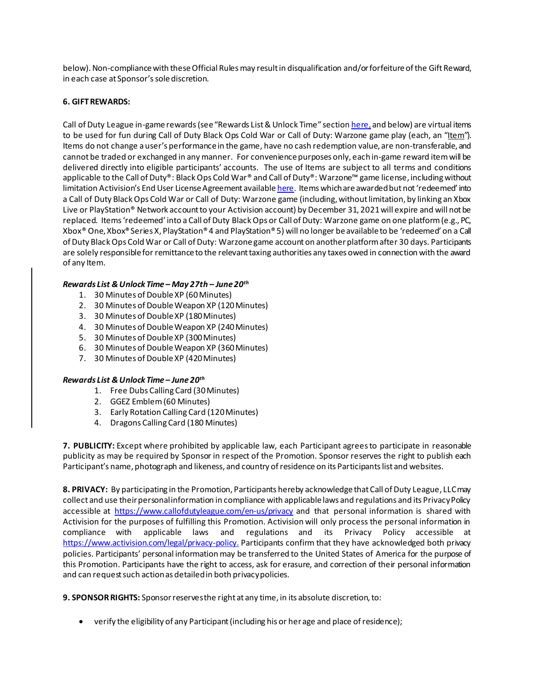below). Non-compliance with these Official Rules may result in disqualification and/or forfeiture of the Gift Reward, in each case at Sponsor's sole discretion.

## **6. GIFT REWARDS:**

Call of Duty League in-game rewards (see "Rewards List & Unlock Time" section [here](https://callofdutyleague.com/viewership-rewards), and below) are virtual items to be used for fun during Call of Duty Black Ops Cold War or Call of Duty: Warzone game play (each, an "Item"). Items do not change a user's performance in the game, have no cash redemption value, are non-transferable, and cannot be traded or exchanged in any manner. For convenience purposes only, each in-game reward itemwill be delivered directly into eligible participants' accounts. The use of Items are subject to all terms and conditions applicable to the Call of Duty®: Black Ops Cold War® and Call of Duty®: Warzone™ game license, including without limitation Activision's End User License Agreement availabl[e here](https://www.activision.com/legal/software-terms-of-use). Items which are awarded but not 'redeemed' into a Call of Duty Black Ops Cold War or Call of Duty: Warzone game (including, without limitation, by linking an Xbox Live or PlayStation® Network account to your Activision account) by December 31, 2021will expire and will not be replaced. Items 'redeemed' into a Call of Duty Black Ops or Call of Duty: Warzone game on one platform (e.g., PC, Xbox® One, Xbox® Series X, PlayStation® 4 and PlayStation® 5) will no longer be available to be 'redeemed' on a Call of Duty Black Ops Cold War or Call of Duty: Warzone game account on another platform after 30 days. Participants are solely responsible for remittance to the relevant taxing authorities any taxes owed in connection with the award of any Item.

# *Rewards List & Unlock Time – May 27th – June 20th*

- 1. 30 Minutes of Double XP (60Minutes)
- 2. 30 Minutes of Double Weapon XP (120Minutes)
- 3. 30 Minutes of Double XP (180Minutes)
- 4. 30 Minutes of Double Weapon XP (240Minutes)
- 5. 30 Minutes of Double XP (300Minutes)
- 6. 30 Minutes of Double Weapon XP (360Minutes)
- 7. 30 Minutes of Double XP (420Minutes)

# *Rewards List & Unlock Time – June 20 th*

- 1. Free Dubs Calling Card (30 Minutes)
- 2. GGEZ Emblem(60 Minutes)
- 3. Early Rotation Calling Card (120 Minutes)
- 4. Dragons Calling Card (180 Minutes)

**7. PUBLICITY:** Except where prohibited by applicable law, each Participant agrees to participate in reasonable publicity as may be required by Sponsor in respect of the Promotion. Sponsor reserves the right to publish each Participant's name, photograph and likeness, and country of residence on its Participants list and websites.

**8. PRIVACY:** By participating in the Promotion, Participants hereby acknowledge that Call of Duty League, LLC may collect and use their personal information in compliance with applicable laws and regulations and its Privacy Policy accessible at <https://www.callofdutyleague.com/en-us/privacy> and that personal information is shared with Activision for the purposes of fulfilling this Promotion. Activision will only process the personal information in compliance with applicable laws and regulations and its Privacy Policy accessible at <https://www.activision.com/legal/privacy-policy.> Participants confirm that they have acknowledged both privacy policies. Participants' personal information may be transferred to the United States of America for the purpose of this Promotion. Participants have the right to access, ask for erasure, and correction of their personal information and can request such action as detailed in both privacy policies.

**9. SPONSOR RIGHTS:** Sponsor reservesthe right at any time, in its absolute discretion, to:

• verify the eligibility of any Participant (including his or her age and place of residence);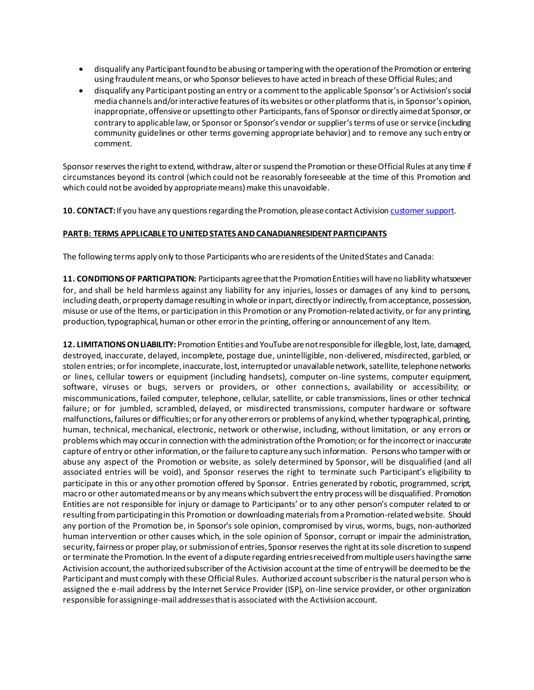- disqualify any Participant found to be abusing or tampering with the operation of the Promotion or entering using fraudulent means, or who Sponsor believes to have acted in breach of these Official Rules; and
- disqualify any Participant posting an entry or a comment to the applicable Sponsor's or Activision'ssocial media channels and/or interactive features of its websites or other platforms that is, in Sponsor's opinion, inappropriate, offensive or upsetting to other Participants, fans of Sponsor or directly aimed at Sponsor, or contrary to applicable law, or Sponsor or Sponsor's vendor or supplier's terms of use or service (including community guidelines or other terms governing appropriate behavior) and to remove any such entry or comment.

Sponsor reservesthe right to extend, withdraw, alter or suspend the Promotion or these Official Rules at any time if circumstances beyond its control (which could not be reasonably foreseeable at the time of this Promotion and which could not be avoided by appropriate means) make this unavoidable.

**10. CONTACT:** If you have any questions regarding the Promotion, please contact Activision [customer support](https://support.activision.com/).

## **PART B: TERMS APPLICABLE TO UNITED STATES AND CANADIANRESIDENT PARTICIPANTS**

The following terms apply only to those Participants who are residents of the United States and Canada:

**11. CONDITIONS OF PARTICIPATION:** Participants agree that the PromotionEntities will have no liability whatsoever for, and shall be held harmless against any liability for any injuries, losses or damages of any kind to persons, including death, or property damage resulting in whole or in part, directly or indirectly, from acceptance, possession, misuse or use of the Items, or participation in this Promotion or any Promotion-related activity, or for any printing, production, typographical, human or other error in the printing, offering or announcement of any Item.

**12. LIMITATIONS ON LIABILITY:**Promotion Entities and YouTube are not responsible for illegible, lost, late, damaged, destroyed, inaccurate, delayed, incomplete, postage due, unintelligible, non-delivered, misdirected, garbled, or stolen entries; or for incomplete, inaccurate, lost, interrupted or unavailable network, satellite, telephone networks or lines, cellular towers or equipment (including handsets), computer on-line systems, computer equipment, software, viruses or bugs, servers or providers, or other connections, availability or accessibility; or miscommunications, failed computer, telephone, cellular, satellite, or cable transmissions, lines or other technical failure; or for jumbled, scrambled, delayed, or misdirected transmissions, computer hardware or software malfunctions, failures or difficulties; or for any other errors or problems of any kind, whether typographical, printing, human, technical, mechanical, electronic, network or otherwise, including, without limitation, or any errors or problems which may occur in connection with the administration of the Promotion; or for the incorrect or inaccurate capture of entry or other information, or the failure to capture any such information. Persons who tamper with or abuse any aspect of the Promotion or website, as solely determined by Sponsor, will be disqualified (and all associated entries will be void), and Sponsor reserves the right to terminate such Participant's eligibility to participate in this or any other promotion offered by Sponsor. Entries generated by robotic, programmed, script, macro or other automated means or by any means which subvert the entry process will be disqualified. Promotion Entities are not responsible for injury or damage to Participants' or to any other person's computer related to or resulting from participating in this Promotion or downloading materials froma Promotion-related website. Should any portion of the Promotion be, in Sponsor's sole opinion, compromised by virus, worms, bugs, non-authorized human intervention or other causes which, in the sole opinion of Sponsor, corrupt or impair the administration, security, fairness or proper play, or submission of entries, Sponsor reservesthe right at its sole discretion to suspend or terminate the Promotion. In the event of a dispute regarding entries received from multiple users having the same Activision account, the authorized subscriber of the Activision account at the time of entry will be deemed to be the Participant and must comply with these Official Rules. Authorized account subscriber is the natural person who is assigned the e-mail address by the Internet Service Provider (ISP), on-line service provider, or other organization responsible for assigning e-mail addressesthat is associated with the Activisionaccount.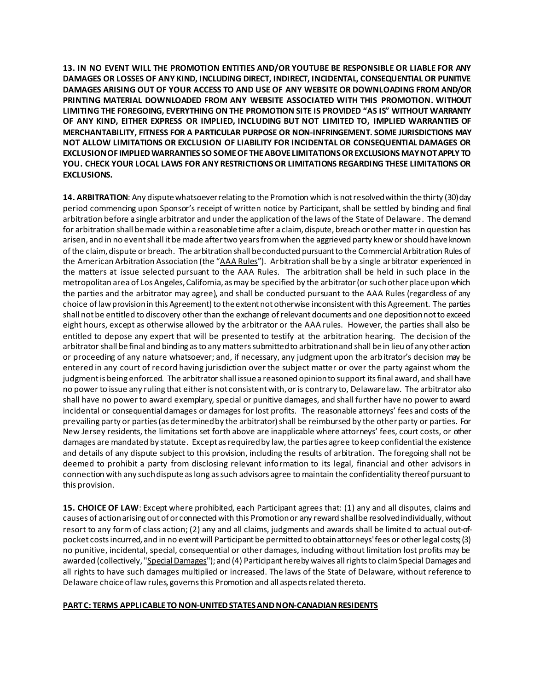**13. IN NO EVENT WILL THE PROMOTION ENTITIES AND/OR YOUTUBE BE RESPONSIBLE OR LIABLE FOR ANY DAMAGES OR LOSSES OF ANY KIND, INCLUDING DIRECT, INDIRECT, INCIDENTAL, CONSEQUENTIAL OR PUNITIVE DAMAGES ARISING OUT OF YOUR ACCESS TO AND USE OF ANY WEBSITE OR DOWNLOADING FROM AND/OR PRINTING MATERIAL DOWNLOADED FROM ANY WEBSITE ASSOCIATED WITH THIS PROMOTION. WITHOUT LIMITING THE FOREGOING, EVERYTHING ON THE PROMOTION SITE IS PROVIDED "AS IS" WITHOUT WARRANTY OF ANY KIND, EITHER EXPRESS OR IMPLIED, INCLUDING BUT NOT LIMITED TO, IMPLIED WARRANTIES OF MERCHANTABILITY, FITNESS FOR A PARTICULAR PURPOSE OR NON-INFRINGEMENT. SOME JURISDICTIONS MAY NOT ALLOW LIMITATIONS OR EXCLUSION OF LIABILITY FOR INCIDENTAL OR CONSEQUENTIAL DAMAGES OR EXCLUSION OF IMPLIED WARRANTIES SO SOME OF THE ABOVE LIMITATIONS OR EXCLUSIONS MAY NOT APPLY TO YOU. CHECK YOUR LOCAL LAWS FOR ANY RESTRICTIONS OR LIMITATIONS REGARDING THESE LIMITATIONS OR EXCLUSIONS.** 

**14. ARBITRATION**: Any dispute whatsoever relating to the Promotion which is not resolved within the thirty (30) day period commencing upon Sponsor's receipt of written notice by Participant, shall be settled by binding and final arbitration before a single arbitrator and under the application of the laws of the State of Delaware. The demand for arbitration shall be made within a reasonable time after a claim, dispute, breach or other matter in question has arisen, and in no event shall it be made after two years from when the aggrieved party knew or should have known of the claim, dispute or breach. The arbitration shall be conducted pursuant to the Commercial Arbitration Rules of the American Arbitration Association (the "AAA Rules"). Arbitration shall be by a single arbitrator experienced in the matters at issue selected pursuant to the AAA Rules. The arbitration shall be held in such place in the metropolitan area of Los Angeles, California, as may be specified by the arbitrator (or such other place upon which the parties and the arbitrator may agree), and shall be conducted pursuant to the AAA Rules (regardless of any choice of law provision in this Agreement) to the extent not otherwise inconsistent with this Agreement. The parties shall not be entitled to discovery other than the exchange of relevant documents and one deposition not to exceed eight hours, except as otherwise allowed by the arbitrator or the AAA rules. However, the parties shall also be entitled to depose any expert that will be presented to testify at the arbitration hearing. The decision of the arbitrator shall be final and binding as to any matters submitted to arbitration and shall be in lieu of any other action or proceeding of any nature whatsoever; and, if necessary, any judgment upon the arbitrator's decision may be entered in any court of record having jurisdiction over the subject matter or over the party against whom the judgment is being enforced. The arbitrator shall issue a reasoned opinion to support its final award, and shall have no power to issue any ruling that either is not consistent with, or is contrary to, Delawarelaw. The arbitrator also shall have no power to award exemplary, special or punitive damages, and shall further have no power to award incidental or consequential damages or damages for lost profits. The reasonable attorneys' fees and costs of the prevailing party or parties(as determined by the arbitrator) shall be reimbursed by the other party or parties. For New Jersey residents, the limitations set forth above are inapplicable where attorneys' fees, court costs, or other damages are mandated by statute. Except as required by law, the parties agree to keep confidential the existence and details of any dispute subject to this provision, including the results of arbitration. The foregoing shall not be deemed to prohibit a party from disclosing relevant information to its legal, financial and other advisors in connection with any such dispute as long as such advisors agree to maintain the confidentiality thereof pursuant to this provision.

**15. CHOICE OF LAW**: Except where prohibited, each Participant agrees that: (1) any and all disputes, claims and causes of action arising out of or connected with this Promotionor any reward shall be resolved individually, without resort to any form of class action; (2) any and all claims, judgments and awards shall be limited to actual out-ofpocket costs incurred, and in no event will Participant be permitted to obtain attorneys' fees or other legal costs; (3) no punitive, incidental, special, consequential or other damages, including without limitation lost profits may be awarded (collectively, "Special Damages"); and (4) Participant hereby waives all rights to claim Special Damages and all rights to have such damages multiplied or increased. The laws of the State of Delaware, without reference to Delaware choice of law rules, governs this Promotion and all aspects related thereto.

#### **PART C: TERMS APPLICABLE TO NON-UNITED STATES AND NON-CANADIANRESIDENTS**